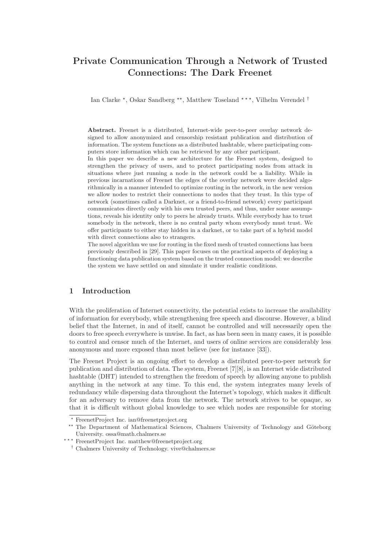# Private Communication Through a Network of Trusted Connections: The Dark Freenet

Ian Clarke  $^{\star}$ , Oskar Sandberg  $^{\star\star}$ , Matthew Toseland  $^{\star\,\star\,\star}$ , Vilhelm Verendel  $^{\dagger}$ 

Abstract. Freenet is a distributed, Internet-wide peer-to-peer overlay network designed to allow anonymized and censorship resistant publication and distribution of information. The system functions as a distributed hashtable, where participating computers store information which can be retrieved by any other participant.

In this paper we describe a new architecture for the Freenet system, designed to strengthen the privacy of users, and to protect participating nodes from attack in situations where just running a node in the network could be a liability. While in previous incarnations of Freenet the edges of the overlay network were decided algorithmically in a manner intended to optimize routing in the network, in the new version we allow nodes to restrict their connections to nodes that they trust. In this type of network (sometimes called a Darknet, or a friend-to-friend network) every participant communicates directly only with his own trusted peers, and thus, under some assumptions, reveals his identity only to peers he already trusts. While everybody has to trust somebody in the network, there is no central party whom everybody must trust. We offer participants to either stay hidden in a darknet, or to take part of a hybrid model with direct connections also to strangers.

The novel algorithm we use for routing in the fixed mesh of trusted connections has been previously described in [29]. This paper focuses on the practical aspects of deploying a functioning data publication system based on the trusted connection model: we describe the system we have settled on and simulate it under realistic conditions.

# 1 Introduction

With the proliferation of Internet connectivity, the potential exists to increase the availability of information for everybody, while strengthening free speech and discourse. However, a blind belief that the Internet, in and of itself, cannot be controlled and will necessarily open the doors to free speech everywhere is unwise. In fact, as has been seen in many cases, it is possible to control and censor much of the Internet, and users of online services are considerably less anonymous and more exposed than most believe (see for instance [33]).

The Freenet Project is an ongoing effort to develop a distributed peer-to-peer network for publication and distribution of data. The system, Freenet [7][8], is an Internet wide distributed hashtable (DHT) intended to strengthen the freedom of speech by allowing anyone to publish anything in the network at any time. To this end, the system integrates many levels of redundancy while dispersing data throughout the Internet's topology, which makes it difficult for an adversary to remove data from the network. The network strives to be opaque, so that it is difficult without global knowledge to see which nodes are responsible for storing

FreenetProject Inc. ian@freenetproject.org

<sup>&</sup>lt;sup>\*\*</sup> The Department of Mathematical Sciences, Chalmers University of Technology and Göteborg University. ossa@math.chalmers.se

<sup>⋆ ⋆ ⋆</sup> FreenetProject Inc. matthew@freenetproject.org

<sup>†</sup> Chalmers University of Technology. vive@chalmers.se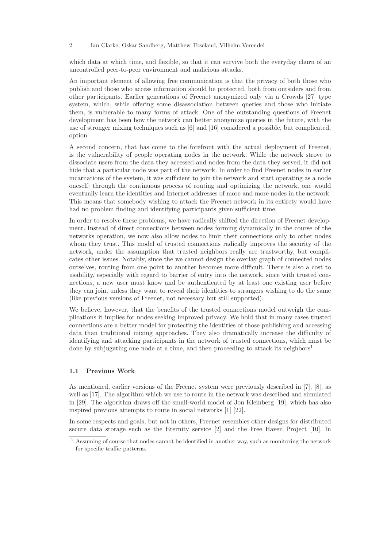which data at which time, and flexible, so that it can survive both the everyday churn of an uncontrolled peer-to-peer environment and malicious attacks.

An important element of allowing free communication is that the privacy of both those who publish and those who access information should be protected, both from outsiders and from other participants. Earlier generations of Freenet anonymized only via a Crowds [27] type system, which, while offering some disassociation between queries and those who initiate them, is vulnerable to many forms of attack. One of the outstanding questions of Freenet development has been how the network can better anonymize queries in the future, with the use of stronger mixing techniques such as [6] and [16] considered a possible, but complicated, option.

A second concern, that has come to the forefront with the actual deployment of Freenet, is the vulnerability of people operating nodes in the network. While the network strove to dissociate users from the data they accessed and nodes from the data they served, it did not hide that a particular node was part of the network. In order to find Freenet nodes in earlier incarnations of the system, it was sufficient to join the network and start operating as a node oneself: through the continuous process of routing and optimizing the network, one would eventually learn the identities and Internet addresses of more and more nodes in the network. This means that somebody wishing to attack the Freenet network in its entirety would have had no problem finding and identifying participants given sufficient time.

In order to resolve these problems, we have radically shifted the direction of Freenet development. Instead of direct connections between nodes forming dynamically in the course of the networks operation, we now also allow nodes to limit their connections only to other nodes whom they trust. This model of trusted connections radically improves the security of the network, under the assumption that trusted neighbors really are trustworthy, but complicates other issues. Notably, since the we cannot design the overlay graph of connected nodes ourselves, routing from one point to another becomes more difficult. There is also a cost to usability, especially with regard to barrier of entry into the network, since with trusted connections, a new user must know and be authenticated by at least one existing user before they can join, unless they want to reveal their identities to strangers wishing to do the same (like previous versions of Freenet, not necessary but still supported).

We believe, however, that the benefits of the trusted connections model outweigh the complications it implies for nodes seeking improved privacy. We hold that in many cases trusted connections are a better model for protecting the identities of those publishing and accessing data than traditional mixing approaches. They also dramatically increase the difficulty of identifying and attacking participants in the network of trusted connections, which must be done by subjugating one node at a time, and then proceeding to attack its neighbors<sup>1</sup>.

### 1.1 Previous Work

As mentioned, earlier versions of the Freenet system were previously described in [7], [8], as well as [17]. The algorithm which we use to route in the network was described and simulated in [29]. The algorithm draws off the small-world model of Jon Kleinberg [19], which has also inspired previous attempts to route in social networks [1] [22].

In some respects and goals, but not in others, Freenet resembles other designs for distributed secure data storage such as the Eternity service [2] and the Free Haven Project [10]. In

 $1$  Assuming of course that nodes cannot be identified in another way, such as monitoring the network for specific traffic patterns.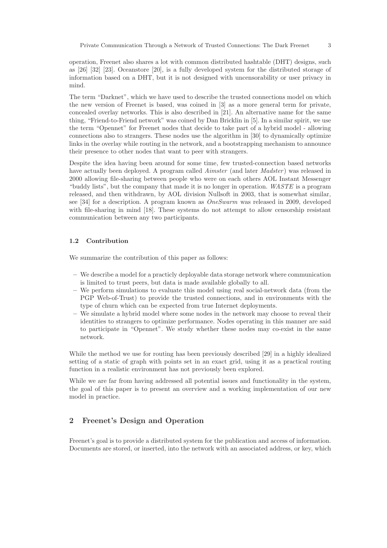operation, Freenet also shares a lot with common distributed hashtable (DHT) designs, such as [26] [32] [23]. Oceanstore [20], is a fully developed system for the distributed storage of information based on a DHT, but it is not designed with uncensorability or user privacy in mind.

The term "Darknet", which we have used to describe the trusted connections model on which the new version of Freenet is based, was coined in [3] as a more general term for private, concealed overlay networks. This is also described in [21]. An alternative name for the same thing, "Friend-to-Friend network" was coined by Dan Bricklin in [5]. In a similar spirit, we use the term "Opennet" for Freenet nodes that decide to take part of a hybrid model - allowing connections also to strangers. These nodes use the algorithm in [30] to dynamically optimize links in the overlay while routing in the network, and a bootstrapping mechanism to announce their presence to other nodes that want to peer with strangers.

Despite the idea having been around for some time, few trusted-connection based networks have actually been deployed. A program called *Aimster* (and later *Madster*) was released in 2000 allowing file-sharing between people who were on each others AOL Instant Messenger "buddy lists", but the company that made it is no longer in operation. WASTE is a program released, and then withdrawn, by AOL division Nullsoft in 2003, that is somewhat similar, see [34] for a description. A program known as OneSwarm was released in 2009, developed with file-sharing in mind [18]. These systems do not attempt to allow censorship resistant communication between any two participants.

### 1.2 Contribution

We summarize the contribution of this paper as follows:

- We describe a model for a practicly deployable data storage network where communication is limited to trust peers, but data is made available globally to all.
- We perform simulations to evaluate this model using real social-network data (from the PGP Web-of-Trust) to provide the trusted connections, and in environments with the type of churn which can be expected from true Internet deployments.
- We simulate a hybrid model where some nodes in the network may choose to reveal their identities to strangers to optimize performance. Nodes operating in this manner are said to participate in "Opennet". We study whether these nodes may co-exist in the same network.

While the method we use for routing has been previously described [29] in a highly idealized setting of a static of graph with points set in an exact grid, using it as a practical routing function in a realistic environment has not previously been explored.

While we are far from having addressed all potential issues and functionality in the system, the goal of this paper is to present an overview and a working implementation of our new model in practice.

# 2 Freenet's Design and Operation

Freenet's goal is to provide a distributed system for the publication and access of information. Documents are stored, or inserted, into the network with an associated address, or key, which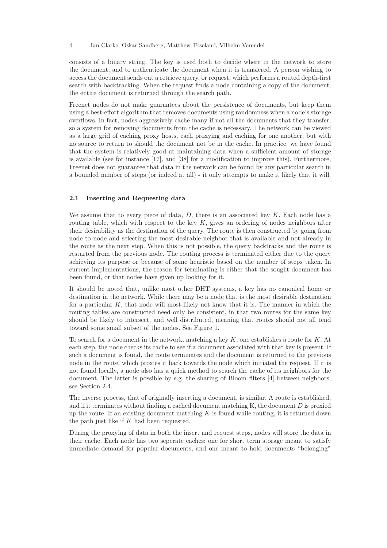consists of a binary string. The key is used both to decide where in the network to store the document, and to authenticate the document when it is transfered. A person wishing to access the document sends out a retrieve query, or request, which performs a routed depth-first search with backtracking. When the request finds a node containing a copy of the document, the entire document is returned through the search path.

Freenet nodes do not make guarantees about the persistence of documents, but keep them using a best-effort algorithm that removes documents using randomness when a node's storage overflows. In fact, nodes aggressively cache many if not all the documents that they transfer, so a system for removing documents from the cache is necessary. The network can be viewed as a large grid of caching proxy hosts, each proxying and caching for one another, but with no source to return to should the document not be in the cache. In practice, we have found that the system is relatively good at maintaining data when a sufficient amount of storage is available (see for instance [17], and [38] for a modification to improve this). Furthermore, Freenet does not guarantee that data in the network can be found by any particular search in a bounded number of steps (or indeed at all) - it only attempts to make it likely that it will.

### 2.1 Inserting and Requesting data

We assume that to every piece of data,  $D$ , there is an associated key  $K$ . Each node has a routing table, which with respect to the key  $K$ , gives an ordering of nodes neighbors after their desirability as the destination of the query. The route is then constructed by going from node to node and selecting the most desirable neighbor that is available and not already in the route as the next step. When this is not possible, the query backtracks and the route is restarted from the previous node. The routing process is terminated either due to the query achieving its purpose or because of some heuristic based on the number of steps taken. In current implementations, the reason for terminating is either that the sought document has been found, or that nodes have given up looking for it.

It should be noted that, unlike most other DHT systems, a key has no canonical home or destination in the network. While there may be a node that is the most desirable destination for a particular  $K$ , that node will most likely not know that it is. The manner in which the routing tables are constructed need only be consistent, in that two routes for the same key should be likely to intersect, and well distributed, meaning that routes should not all tend toward some small subset of the nodes. See Figure 1.

To search for a document in the network, matching a key  $K$ , one establishes a route for  $K$ . At each step, the node checks its cache to see if a document associated with that key is present. If such a document is found, the route terminates and the document is returned to the previous node in the route, which proxies it back towards the node which initiated the request. If it is not found locally, a node also has a quick method to search the cache of its neighbors for the document. The latter is possible by e.g. the sharing of Bloom filters [4] between neighbors, see Section 2.4.

The inverse process, that of originally inserting a document, is similar. A route is established, and if it terminates without finding a cached document matching  $K$ , the document  $D$  is proxied up the route. If an existing document matching  $K$  is found while routing, it is returned down the path just like if K had been requested.

During the proxying of data in both the insert and request steps, nodes will store the data in their cache. Each node has two seperate caches: one for short term storage meant to satisfy immediate demand for popular documents, and one meant to hold documents "belonging"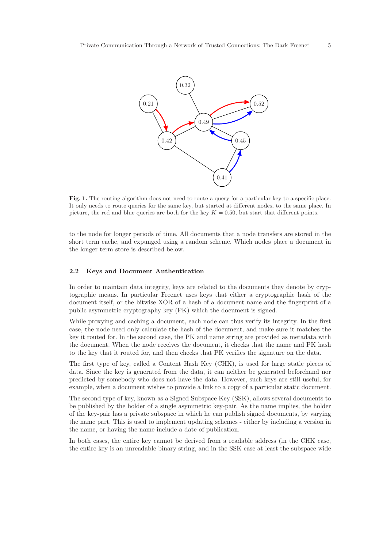

Fig. 1. The routing algorithm does not need to route a query for a particular key to a specific place. It only needs to route queries for the same key, but started at different nodes, to the same place. In picture, the red and blue queries are both for the key  $K = 0.50$ , but start that different points.

to the node for longer periods of time. All documents that a node transfers are stored in the short term cache, and expunged using a random scheme. Which nodes place a document in the longer term store is described below.

#### 2.2 Keys and Document Authentication

In order to maintain data integrity, keys are related to the documents they denote by cryptographic means. In particular Freenet uses keys that either a cryptographic hash of the document itself, or the bitwise XOR of a hash of a document name and the fingerprint of a public asymmetric cryptography key (PK) which the document is signed.

While proxying and caching a document, each node can thus verify its integrity. In the first case, the node need only calculate the hash of the document, and make sure it matches the key it routed for. In the second case, the PK and name string are provided as metadata with the document. When the node receives the document, it checks that the name and PK hash to the key that it routed for, and then checks that PK verifies the signature on the data.

The first type of key, called a Content Hash Key (CHK), is used for large static pieces of data. Since the key is generated from the data, it can neither be generated beforehand nor predicted by somebody who does not have the data. However, such keys are still useful, for example, when a document wishes to provide a link to a copy of a particular static document.

The second type of key, known as a Signed Subspace Key (SSK), allows several documents to be published by the holder of a single asymmetric key-pair. As the name implies, the holder of the key-pair has a private subspace in which he can publish signed documents, by varying the name part. This is used to implement updating schemes - either by including a version in the name, or having the name include a date of publication.

In both cases, the entire key cannot be derived from a readable address (in the CHK case, the entire key is an unreadable binary string, and in the SSK case at least the subspace wide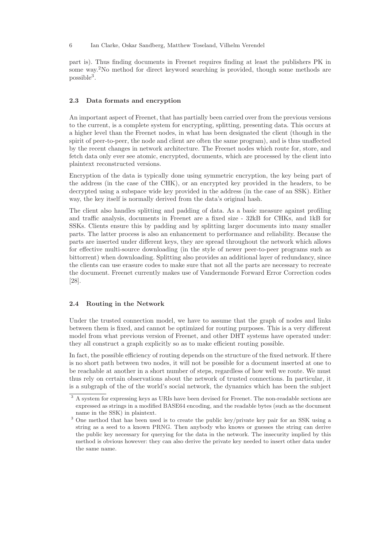part is). Thus finding documents in Freenet requires finding at least the publishers PK in some way.<sup>2</sup>No method for direct keyword searching is provided, though some methods are  $_{\rm possible}$ <sup>3</sup>.

#### 2.3 Data formats and encryption

An important aspect of Freenet, that has partially been carried over from the previous versions to the current, is a complete system for encrypting, splitting, presenting data. This occurs at a higher level than the Freenet nodes, in what has been designated the client (though in the spirit of peer-to-peer, the node and client are often the same program), and is thus unaffected by the recent changes in network architecture. The Freenet nodes which route for, store, and fetch data only ever see atomic, encrypted, documents, which are processed by the client into plaintext reconstructed versions.

Encryption of the data is typically done using symmetric encryption, the key being part of the address (in the case of the CHK), or an encrypted key provided in the headers, to be decrypted using a subspace wide key provided in the address (in the case of an SSK). Either way, the key itself is normally derived from the data's original hash.

The client also handles splitting and padding of data. As a basic measure against profiling and traffic analysis, documents in Freenet are a fixed size - 32kB for CHKs, and 1kB for SSKs. Clients ensure this by padding and by splitting larger documents into many smaller parts. The latter process is also an enhancement to performance and reliability. Because the parts are inserted under different keys, they are spread throughout the network which allows for effective multi-source downloading (in the style of newer peer-to-peer programs such as bittorrent) when downloading. Splitting also provides an additional layer of redundancy, since the clients can use erasure codes to make sure that not all the parts are necessary to recreate the document. Freenet currently makes use of Vandermonde Forward Error Correction codes [28].

#### 2.4 Routing in the Network

Under the trusted connection model, we have to assume that the graph of nodes and links between them is fixed, and cannot be optimized for routing purposes. This is a very different model from what previous version of Freenet, and other DHT systems have operated under: they all construct a graph explicitly so as to make efficient routing possible.

In fact, the possible efficiency of routing depends on the structure of the fixed network. If there is no short path between two nodes, it will not be possible for a document inserted at one to be reachable at another in a short number of steps, regardless of how well we route. We must thus rely on certain observations about the network of trusted connections. In particular, it is a subgraph of the of the world's social network, the dynamics which has been the subject

<sup>&</sup>lt;sup>3</sup> A system for expressing keys as URIs have been devised for Freenet. The non-readable sections are expressed as strings in a modified BASE64 encoding, and the readable bytes (such as the document name in the SSK) in plaintext.

<sup>&</sup>lt;sup>3</sup> One method that has been used is to create the public key/private key pair for an SSK using a string as a seed to a known PRNG. Then anybody who knows or guesses the string can derive the public key necessary for querying for the data in the network. The insecurity implied by this method is obvious however: they can also derive the private key needed to insert other data under the same name.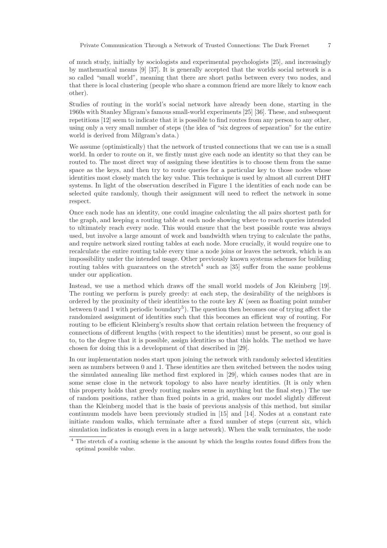of much study, initially by sociologists and experimental psychologists [25], and increasingly by mathematical means [9] [37]. It is generally accepted that the worlds social network is a so called "small world", meaning that there are short paths between every two nodes, and that there is local clustering (people who share a common friend are more likely to know each other).

Studies of routing in the world's social network have already been done, starting in the 1960s with Stanley Migram's famous small-world experiments [25] [36]. These, and subsequent repetitions [12] seem to indicate that it is possible to find routes from any person to any other, using only a very small number of steps (the idea of "six degrees of separation" for the entire world is derived from Milgram's data.)

We assume (optimistically) that the network of trusted connections that we can use is a small world. In order to route on it, we firstly must give each node an identity so that they can be routed to. The most direct way of assigning these identities is to choose them from the same space as the keys, and then try to route queries for a particular key to those nodes whose identities most closely match the key value. This technique is used by almost all current DHT systems. In light of the observation described in Figure 1 the identities of each node can be selected quite randomly, though their assignment will need to reflect the network in some respect.

Once each node has an identity, one could imagine calculating the all pairs shortest path for the graph, and keeping a routing table at each node showing where to reach queries intended to ultimately reach every node. This would ensure that the best possible route was always used, but involve a large amount of work and bandwidth when trying to calculate the paths, and require network sized routing tables at each node. More crucially, it would require one to recalculate the entire routing table every time a node joins or leaves the network, which is an impossibility under the intended usage. Other previously known systems schemes for building routing tables with guarantees on the stretch<sup>4</sup> such as [35] suffer from the same problems under our application.

Instead, we use a method which draws off the small world models of Jon Kleinberg [19]. The routing we perform is purely greedy: at each step, the desirability of the neighbors is ordered by the proximity of their identities to the route key  $K$  (seen as floating point number between 0 and 1 with periodic boundary<sup>5</sup>). The question then becomes one of trying affect the randomized assignment of identities such that this becomes an efficient way of routing. For routing to be efficient Kleinberg's results show that certain relation between the frequency of connections of different lengths (with respect to the identities) must be present, so our goal is to, to the degree that it is possible, assign identities so that this holds. The method we have chosen for doing this is a development of that described in [29].

In our implementation nodes start upon joining the network with randomly selected identities seen as numbers between 0 and 1. These identities are then switched between the nodes using the simulated annealing like method first explored in [29], which causes nodes that are in some sense close in the network topology to also have nearby identities. (It is only when this property holds that greedy routing makes sense in anything but the final step.) The use of random positions, rather than fixed points in a grid, makes our model slightly different than the Kleinberg model that is the basis of previous analysis of this method, but similar continuum models have been previously studied in [15] and [14]. Nodes at a constant rate initiate random walks, which terminate after a fixed number of steps (current six, which simulation indicates is enough even in a large network). When the walk terminates, the node

<sup>&</sup>lt;sup>4</sup> The stretch of a routing scheme is the amount by which the lengths routes found differs from the optimal possible value.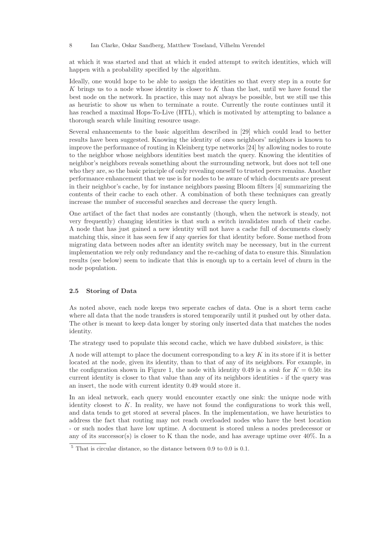at which it was started and that at which it ended attempt to switch identities, which will happen with a probability specified by the algorithm.

Ideally, one would hope to be able to assign the identities so that every step in a route for K brings us to a node whose identity is closer to  $K$  than the last, until we have found the best node on the network. In practice, this may not always be possible, but we still use this as heuristic to show us when to terminate a route. Currently the route continues until it has reached a maximal Hops-To-Live (HTL), which is motivated by attempting to balance a thorough search while limiting resource usage.

Several enhancements to the basic algorithm described in [29] which could lead to better results have been suggested. Knowing the identity of ones neighbors' neighbors is known to improve the performance of routing in Kleinberg type networks [24] by allowing nodes to route to the neighbor whose neighbors identities best match the query. Knowing the identities of neighbor's neighbors reveals something about the surrounding network, but does not tell one who they are, so the basic principle of only revealing oneself to trusted peers remains. Another performance enhancement that we use is for nodes to be aware of which documents are present in their neighbor's cache, by for instance neighbors passing Bloom filters [4] summarizing the contents of their cache to each other. A combination of both these techniques can greatly increase the number of successful searches and decrease the query length.

One artifact of the fact that nodes are constantly (though, when the network is steady, not very frequently) changing identities is that such a switch invalidates much of their cache. A node that has just gained a new identity will not have a cache full of documents closely matching this, since it has seen few if any queries for that identity before. Some method from migrating data between nodes after an identity switch may be necessary, but in the current implementation we rely only redundancy and the re-caching of data to ensure this. Simulation results (see below) seem to indicate that this is enough up to a certain level of churn in the node population.

### 2.5 Storing of Data

As noted above, each node keeps two seperate caches of data. One is a short term cache where all data that the node transfers is stored temporarily until it pushed out by other data. The other is meant to keep data longer by storing only inserted data that matches the nodes identity.

The strategy used to populate this second cache, which we have dubbed sinkstore, is this:

A node will attempt to place the document corresponding to a key  $K$  in its store if it is better located at the node, given its identity, than to that of any of its neighbors. For example, in the configuration shown in Figure 1, the node with identity 0.49 is a *sink* for  $K = 0.50$ : its current identity is closer to that value than any of its neighbors identities - if the query was an insert, the node with current identity 0.49 would store it.

In an ideal network, each query would encounter exactly one sink: the unique node with identity closest to  $K$ . In reality, we have not found the configurations to work this well, and data tends to get stored at several places. In the implementation, we have heuristics to address the fact that routing may not reach overloaded nodes who have the best location - or such nodes that have low uptime. A document is stored unless a nodes predecessor or any of its successor(s) is closer to K than the node, and has average uptime over  $40\%$ . In a

 $\frac{5}{6}$  That is circular distance, so the distance between 0.9 to 0.0 is 0.1.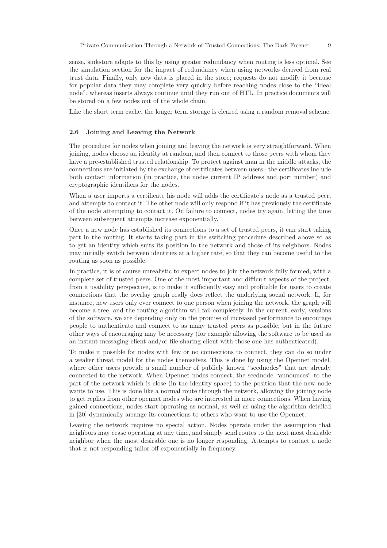sense, sinkstore adapts to this by using greater redundancy when routing is less optimal. See the simulation section for the impact of redundancy when using networks derived from real trust data. Finally, only new data is placed in the store; requests do not modify it because for popular data they may complete very quickly before reaching nodes close to the "ideal node", whereas inserts always continue until they run out of HTL. In practice documents will be stored on a few nodes out of the whole chain.

Like the short term cache, the longer term storage is cleared using a random removal scheme.

### 2.6 Joining and Leaving the Network

The procedure for nodes when joining and leaving the network is very straightforward. When joining, nodes choose an identity at random, and then connect to those peers with whom they have a pre-established trusted relationship. To protect against man in the middle attacks, the connections are initiated by the exchange of certificates between users - the certificates include both contact information (in practice, the nodes current IP address and port number) and cryptographic identifiers for the nodes.

When a user imports a certificate his node will adds the certificate's node as a trusted peer, and attempts to contact it. The other node will only respond if it has previously the certificate of the node attempting to contact it. On failure to connect, nodes try again, letting the time between subsequent attempts increase exponentially.

Once a new node has established its connections to a set of trusted peers, it can start taking part in the routing. It starts taking part in the switching procedure described above so as to get an identity which suits its position in the network and those of its neighbors. Nodes may initially switch between identities at a higher rate, so that they can become useful to the routing as soon as possible.

In practice, it is of course unrealistic to expect nodes to join the network fully formed, with a complete set of trusted peers. One of the most important and difficult aspects of the project, from a usability perspective, is to make it sufficiently easy and profitable for users to create connections that the overlay graph really does reflect the underlying social network. If, for instance, new users only ever connect to one person when joining the network, the graph will become a tree, and the routing algorithm will fail completely. In the current, early, versions of the software, we are depending only on the promise of increased performance to encourage people to authenticate and connect to as many trusted peers as possible, but in the future other ways of encouraging may be necessary (for example allowing the software to be used as an instant messaging client and/or file-sharing client with those one has authenticated).

To make it possible for nodes with few or no connections to connect, they can do so under a weaker threat model for the nodes themselves. This is done by using the Opennet model, where other users provide a small number of publicly known "seednodes" that are already connected to the network. When Opennet nodes connect, the seednode "announces" to the part of the network which is close (in the identity space) to the position that the new node wants to use. This is done like a normal route through the network, allowing the joining node to get replies from other opennet nodes who are interested in more connections. When having gained connections, nodes start operating as normal, as well as using the algorithm detailed in [30] dynamically arrange its connections to others who want to use the Opennet.

Leaving the network requires no special action. Nodes operate under the assumption that neighbors may cease operating at any time, and simply send routes to the next most desirable neighbor when the most desirable one is no longer responding. Attempts to contact a node that is not responding tailor off exponentially in frequency.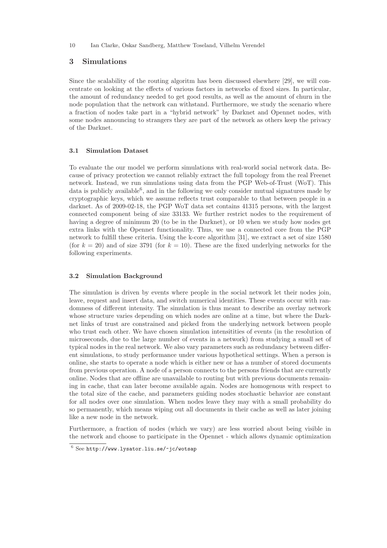# 3 Simulations

Since the scalability of the routing algoritm has been discussed elsewhere [29], we will concentrate on looking at the effects of various factors in networks of fixed sizes. In particular, the amount of redundancy needed to get good results, as well as the amount of churn in the node population that the network can withstand. Furthermore, we study the scenario where a fraction of nodes take part in a "hybrid network" by Darknet and Opennet nodes, with some nodes announcing to strangers they are part of the network as others keep the privacy of the Darknet.

#### 3.1 Simulation Dataset

To evaluate the our model we perform simulations with real-world social network data. Because of privacy protection we cannot reliably extract the full topology from the real Freenet network. Instead, we run simulations using data from the PGP Web-of-Trust (WoT). This data is publicly available<sup>6</sup>, and in the following we only consider mutual signatures made by cryptographic keys, which we assume reflects trust comparable to that between people in a darknet. As of 2009-02-18, the PGP WoT data set contains 41315 persons, with the largest connected component being of size 33133. We further restrict nodes to the requirement of having a degree of minimum 20 (to be in the Darknet), or 10 when we study how nodes get extra links with the Opennet functionality. Thus, we use a connected core from the PGP network to fulfill these criteria. Using the k-core algorithm [31], we extract a set of size 1580 (for  $k = 20$ ) and of size 3791 (for  $k = 10$ ). These are the fixed underlying networks for the following experiments.

#### 3.2 Simulation Background

The simulation is driven by events where people in the social network let their nodes join, leave, request and insert data, and switch numerical identities. These events occur with randomness of different intensity. The simulation is thus meant to describe an overlay network whose structure varies depending on which nodes are online at a time, but where the Darknet links of trust are constrained and picked from the underlying network between people who trust each other. We have chosen simulation intensitities of events (in the resolution of microseconds, due to the large number of events in a network) from studying a small set of typical nodes in the real network. We also vary parameters such as redundancy between different simulations, to study performance under various hypothetical settings. When a person is online, she starts to operate a node which is either new or has a number of stored documents from previous operation. A node of a person connects to the persons friends that are currently online. Nodes that are offline are unavailable to routing but with previous documents remaining in cache, that can later become available again. Nodes are homogenous with respect to the total size of the cache, and parameters guiding nodes stochastic behavior are constant for all nodes over one simulation. When nodes leave they may with a small probability do so permanently, which means wiping out all documents in their cache as well as later joining like a new node in the network.

Furthermore, a fraction of nodes (which we vary) are less worried about being visible in the network and choose to participate in the Opennet - which allows dynamic optimization

 $\frac{6 \text{ See } \text{http://www.lysator.liu.se/~jc/wotsap}}{6 \text{ See } \text{http://www.lysator.liu.se/~jc/wotsap}}$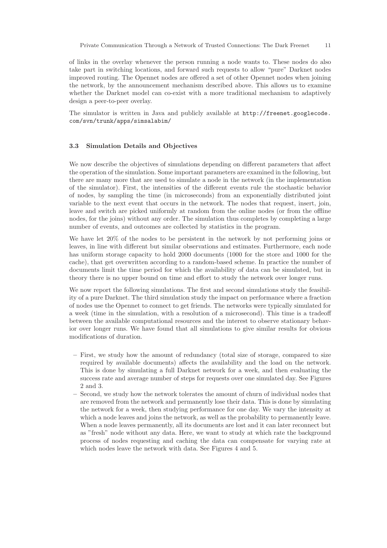of links in the overlay whenever the person running a node wants to. These nodes do also take part in switching locations, and forward such requests to allow "pure" Darknet nodes improved routing. The Opennet nodes are offered a set of other Opennet nodes when joining the network, by the announcement mechanism described above. This allows us to examine whether the Darknet model can co-exist with a more traditional mechanism to adaptively design a peer-to-peer overlay.

The simulator is written in Java and publicly available at http://freenet.googlecode. com/svn/trunk/apps/simsalabim/

#### 3.3 Simulation Details and Objectives

We now describe the objectives of simulations depending on different parameters that affect the operation of the simulation. Some important parameters are examined in the following, but there are many more that are used to simulate a node in the network (in the implementation of the simulator). First, the intensities of the different events rule the stochastic behavior of nodes, by sampling the time (in microseconds) from an exponentially distributed joint variable to the next event that occurs in the network. The nodes that request, insert, join, leave and switch are picked uniformly at random from the online nodes (or from the offline nodes, for the joins) without any order. The simulation thus completes by completing a large number of events, and outcomes are collected by statistics in the program.

We have let 20% of the nodes to be persistent in the network by not performing joins or leaves, in line with different but similar observations and estimates. Furthermore, each node has uniform storage capacity to hold 2000 documents (1000 for the store and 1000 for the cache), that get overwritten according to a random-based scheme. In practice the number of documents limit the time period for which the availability of data can be simulated, but in theory there is no upper bound on time and effort to study the network over longer runs.

We now report the following simulations. The first and second simulations study the feasibility of a pure Darknet. The third simulation study the impact on performance where a fraction of nodes use the Opennet to connect to get friends. The networks were typically simulated for a week (time in the simulation, with a resolution of a microsecond). This time is a tradeoff between the available computational resources and the interest to observe stationary behavior over longer runs. We have found that all simulations to give similar results for obvious modifications of duration.

- First, we study how the amount of redundancy (total size of storage, compared to size required by available documents) affects the availability and the load on the network. This is done by simulating a full Darknet network for a week, and then evaluating the success rate and average number of steps for requests over one simulated day. See Figures 2 and 3.
- Second, we study how the network tolerates the amount of churn of individual nodes that are removed from the network and permanently lose their data. This is done by simulating the network for a week, then studying performance for one day. We vary the intensity at which a node leaves and joins the network, as well as the probability to permanently leave. When a node leaves permanently, all its documents are lost and it can later reconnect but as "fresh" node without any data. Here, we want to study at which rate the background process of nodes requesting and caching the data can compensate for varying rate at which nodes leave the network with data. See Figures 4 and 5.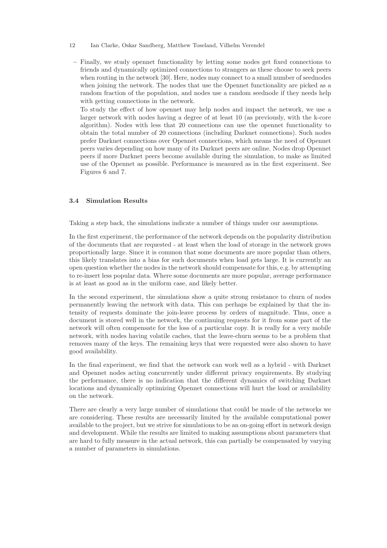- 12 Ian Clarke, Oskar Sandberg, Matthew Toseland, Vilhelm Verendel
	- Finally, we study opennet functionality by letting some nodes get fixed connections to friends and dynamically optimized connections to strangers as these choose to seek peers when routing in the network [30]. Here, nodes may connect to a small number of seednodes when joining the network. The nodes that use the Opennet functionality are picked as a random fraction of the population, and nodes use a random seednode if they needs help with getting connections in the network.

To study the effect of how opennet may help nodes and impact the network, we use a larger network with nodes having a degree of at least 10 (as previously, with the k-core algorithm). Nodes with less that 20 connections can use the opennet functionality to obtain the total number of 20 connections (including Darknet connections). Such nodes prefer Darknet connections over Opennet connections, which means the need of Opennet peers varies depending on how many of its Darknet peers are online. Nodes drop Opennet peers if more Darknet peers become available during the simulation, to make as limited use of the Opennet as possible. Performance is measured as in the first experiment. See Figures 6 and 7.

### 3.4 Simulation Results

Taking a step back, the simulations indicate a number of things under our assumptions.

In the first experiment, the performance of the network depends on the popularity distribution of the documents that are requested - at least when the load of storage in the network grows proportionally large. Since it is common that some documents are more popular than others, this likely translates into a bias for such documents when load gets large. It is currently an open question whether the nodes in the network should compensate for this, e.g. by attempting to re-insert less popular data. Where some documents are more popular, average performance is at least as good as in the uniform case, and likely better.

In the second experiment, the simulations show a quite strong resistance to churn of nodes permanently leaving the network with data. This can perhaps be explained by that the intensity of requests dominate the join-leave process by orders of magnitude. Thus, once a document is stored well in the network, the continuing requests for it from some part of the network will often compensate for the loss of a particular copy. It is really for a very mobile network, with nodes having volatile caches, that the leave-churn seems to be a problem that removes many of the keys. The remaining keys that were requested were also shown to have good availability.

In the final experiment, we find that the network can work well as a hybrid - with Darknet and Opennet nodes acting concurrently under different privacy requirements. By studying the performance, there is no indication that the different dynamics of switching Darknet locations and dynamically optimizing Opennet connections will hurt the load or availability on the network.

There are clearly a very large number of simulations that could be made of the networks we are considering. These results are necessarily limited by the available computational power available to the project, but we strive for simulations to be an on-going effort in network design and development. While the results are limited to making assumptions about parameters that are hard to fully measure in the actual network, this can partially be compensated by varying a number of parameters in simulations.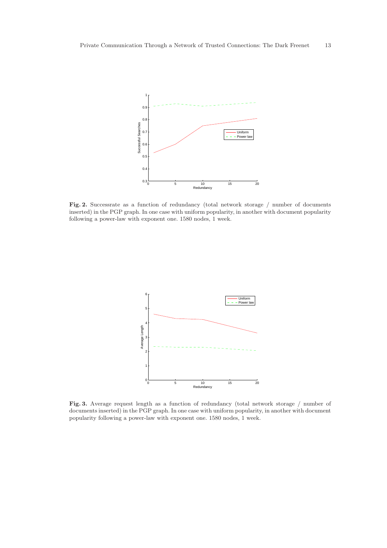

Fig. 2. Successrate as a function of redundancy (total network storage / number of documents inserted) in the PGP graph. In one case with uniform popularity, in another with document popularity following a power-law with exponent one. 1580 nodes, 1 week.



Fig. 3. Average request length as a function of redundancy (total network storage / number of documents inserted) in the PGP graph. In one case with uniform popularity, in another with document popularity following a power-law with exponent one. 1580 nodes, 1 week.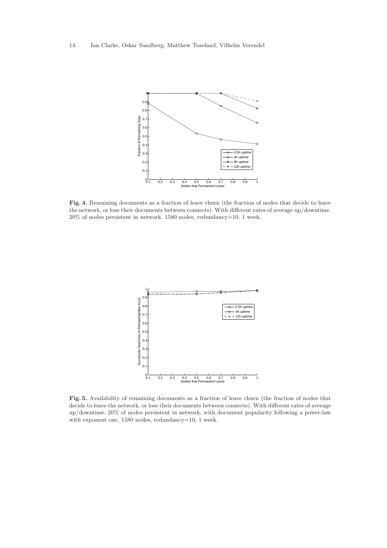14 Ian Clarke, Oskar Sandberg, Matthew Toseland, Vilhelm Verendel



Fig. 4. Remaining documents as a fraction of leave churn (the fraction of nodes that decide to leave the network, or lose their documents between connects). With different rates of average up/downtime. 20% of nodes persistent in network. 1580 nodes, redundancy=10, 1 week.



Fig. 5. Availability of remaining documents as a fraction of leave churn (the fraction of nodes that decide to leave the network, or lose their documents between connects). With different rates of average up/downtime. 20% of nodes persistent in network, with document popularity following a power-law with exponent one. 1580 nodes, redundancy=10, 1 week.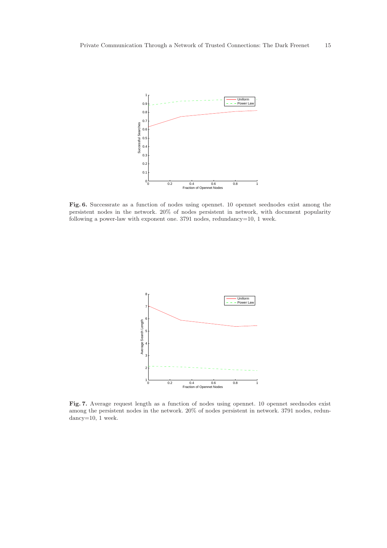

Fig. 6. Successrate as a function of nodes using opennet. 10 opennet seednodes exist among the persistent nodes in the network. 20% of nodes persistent in network, with document popularity following a power-law with exponent one. 3791 nodes, redundancy=10, 1 week.



Fig. 7. Average request length as a function of nodes using opennet. 10 opennet seednodes exist among the persistent nodes in the network. 20% of nodes persistent in network. 3791 nodes, redundancy=10, 1 week.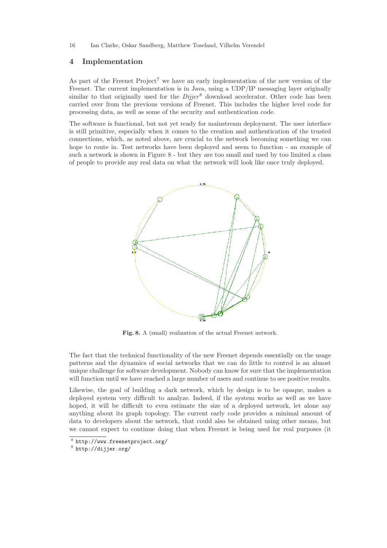### 4 Implementation

As part of the Freenet Project<sup>7</sup> we have an early implementation of the new version of the Freenet. The current implementation is in Java, using a UDP/IP messaging layer originally similar to that originally used for the  $Dijier^8$  download accelerator. Other code has been carried over from the previous versions of Freenet. This includes the higher level code for processing data, as well as some of the security and authentication code.

The software is functional, but not yet ready for mainstream deployment. The user interface is still primitive, especially when it comes to the creation and authentication of the trusted connections, which, as noted above, are crucial to the network becoming something we can hope to route in. Test networks have been deployed and seem to function - an example of such a network is shown in Figure 8 - but they are too small and used by too limited a class of people to provide any real data on what the network will look like once truly deployed.



Fig. 8. A (small) realization of the actual Freenet network.

The fact that the technical functionality of the new Freenet depends essentially on the usage patterns and the dynamics of social networks that we can do little to control is an almost unique challenge for software development. Nobody can know for sure that the implementation will function until we have reached a large number of users and continue to see positive results.

Likewise, the goal of building a dark network, which by design is to be opaque, makes a deployed system very difficult to analyze. Indeed, if the system works as well as we have hoped, it will be difficult to even estimate the size of a deployed network, let alone say anything about its graph topology. The current early code provides a minimal amount of data to developers about the network, that could also be obtained using other means, but we cannot expect to continue doing that when Freenet is being used for real purposes (it

 $^8$  http://www.freenetproject.org/

<sup>8</sup> http://dijjer.org/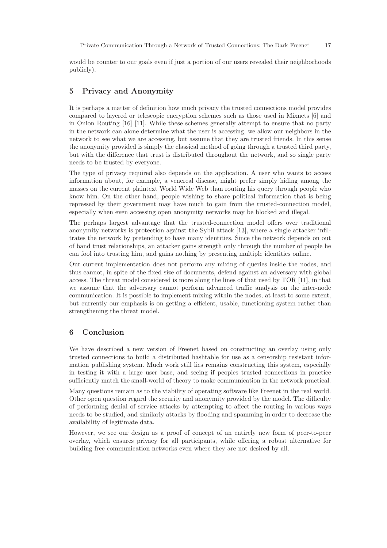would be counter to our goals even if just a portion of our users revealed their neighborhoods publicly).

# 5 Privacy and Anonymity

It is perhaps a matter of definition how much privacy the trusted connections model provides compared to layered or telescopic encryption schemes such as those used in Mixnets [6] and in Onion Routing [16] [11]. While these schemes generally attempt to ensure that no party in the network can alone determine what the user is accessing, we allow our neighbors in the network to see what we are accessing, but assume that they are trusted friends. In this sense the anonymity provided is simply the classical method of going through a trusted third party, but with the difference that trust is distributed throughout the network, and so single party needs to be trusted by everyone.

The type of privacy required also depends on the application. A user who wants to access information about, for example, a venereal disease, might prefer simply hiding among the masses on the current plaintext World Wide Web than routing his query through people who know him. On the other hand, people wishing to share political information that is being repressed by their government may have much to gain from the trusted-connection model, especially when even accessing open anonymity networks may be blocked and illegal.

The perhaps largest advantage that the trusted-connection model offers over traditional anonymity networks is protection against the Sybil attack [13], where a single attacker infiltrates the network by pretending to have many identities. Since the network depends on out of band trust relationships, an attacker gains strength only through the number of people he can fool into trusting him, and gains nothing by presenting multiple identities online.

Our current implementation does not perform any mixing of queries inside the nodes, and thus cannot, in spite of the fixed size of documents, defend against an adversary with global access. The threat model considered is more along the lines of that used by TOR [11], in that we assume that the adversary cannot perform advanced traffic analysis on the inter-node communication. It is possible to implement mixing within the nodes, at least to some extent, but currently our emphasis is on getting a efficient, usable, functioning system rather than strengthening the threat model.

# 6 Conclusion

We have described a new version of Freenet based on constructing an overlay using only trusted connections to build a distributed hashtable for use as a censorship resistant information publishing system. Much work still lies remains constructing this system, especially in testing it with a large user base, and seeing if peoples trusted connections in practice sufficiently match the small-world of theory to make communication in the network practical.

Many questions remain as to the viability of operating software like Freenet in the real world. Other open question regard the security and anonymity provided by the model. The difficulty of performing denial of service attacks by attempting to affect the routing in various ways needs to be studied, and similarly attacks by flooding and spamming in order to decrease the availability of legitimate data.

However, we see our design as a proof of concept of an entirely new form of peer-to-peer overlay, which ensures privacy for all participants, while offering a robust alternative for building free communication networks even where they are not desired by all.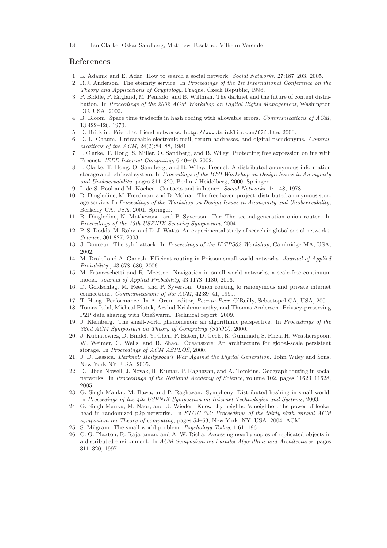# References

- 1. L. Adamic and E. Adar. How to search a social network. Social Networks, 27:187–203, 2005.
- 2. R.J. Anderson. The eternity service. In Proceedings of the 1st International Conference on the Theory and Applications of Cryptology, Praque, Czech Republic, 1996.
- 3. P. Biddle, P. England, M. Peinado, and B. Willman. The darknet and the future of content distribution. In Proceedings of the 2002 ACM Workshop on Digital Rights Management, Washington DC, USA, 2002.
- 4. B. Bloom. Space time tradeoffs in hash coding with allowable errors. Communications of ACM, 13:422–426, 1970.
- 5. D. Bricklin. Friend-to-friend networks. http://www.bricklin.com/f2f.htm, 2000.
- 6. D. L. Chaum. Untraceable electronic mail, return addresses, and digital pseudonyms. Communications of the ACM, 24(2):84–88, 1981.
- 7. I. Clarke, T. Hong, S. Miller, O. Sandberg, and B. Wiley. Protecting free expression online with Freenet. IEEE Internet Computing, 6:40–49, 2002.
- 8. I. Clarke, T. Hong, O. Sandberg, and B. Wiley. Freenet: A distributed anonymous information storage and retrieval system. In Proceedings of the ICSI Workshop on Design Issues in Anonymity and Unobservability, pages 311–320, Berlin / Heidelberg, 2000. Springer.
- 9. I. de S. Pool and M. Kochen. Contacts and influence. Social Networks, 1:1–48, 1978.
- 10. R. Dingledine, M. Freedman, and D. Molnar. The free haven project: distributed anonymous storage service. In Proceedings of the Workshop on Design Issues in Anonymity and Unobservability, Berkeley CA, USA, 2001. Springer.
- 11. R. Dingledine, N. Mathewson, and P. Syverson. Tor: The second-generation onion router. In Proceedings of the 13th USENIX Security Symposium, 2004.
- 12. P. S. Dodds, M. Roby, and D. J. Watts. An experimental study of search in global social networks. Science, 301:827, 2003.
- 13. J. Douceur. The sybil attack. In Proceedings of the IPTPS02 Workshop, Cambridge MA, USA, 2002.
- 14. M. Draief and A. Ganesh. Efficient routing in Poisson small-world networks. Journal of Applied Probability., 43:678–686, 2006.
- 15. M. Franceschetti and R. Meester. Navigation in small world networks, a scale-free continuum model. Journal of Applied Probability, 43:1173–1180, 2006.
- 16. D. Goldschlag, M. Reed, and P. Syverson. Onion routing fo ranonymous and private internet connections. Communications of the ACM, 42:39–41, 1999.
- 17. T. Hong. Performance. In A. Oram, editor, Peer-to-Peer. O'Reilly, Sebastopol CA, USA, 2001.
- 18. Tomas Isdal, Micheal Piatek, Arvind Krishnamurthy, and Thomas Anderson. Privacy-preserving P2P data sharing with OneSwarm. Technical report, 2009.
- 19. J. Kleinberg. The small-world phenomenon: an algorithmic perspective. In Proceedings of the 32nd ACM Symposium on Theory of Computing (STOC), 2000.
- 20. J. Kubiatowicz, D. Bindel, Y. Chen, P. Eaton, D. Geels, R. Gummadi, S. Rhea, H. Weatherspoon, W. Weimer, C. Wells, and B. Zhao. Oceanstore: An architecture for global-scale persistent storage. In Proceedings of ACM ASPLOS, 2000.
- 21. J. D. Lassica. Darknet: Hollywood's War Against the Digital Generation. John Wiley and Sons, New York NY, USA, 2005.
- 22. D. Liben-Nowell, J. Novak, R. Kumar, P. Raghavan, and A. Tomkins. Geograph routing in social networks. In Proceedings of the National Academy of Science, volume 102, pages 11623–11628, 2005.
- 23. G. Singh Manku, M. Bawa, and P. Raghavan. Symphony: Distributed hashing in small world. In Proceedings of the 4th USENIX Symposium on Internet Technologies and Systems, 2003.
- 24. G. Singh Manku, M. Naor, and U. Wieder. Know thy neighbor's neighbor: the power of lookahead in randomized p2p networks. In STOC '04: Proceedings of the thirty-sixth annual ACM symposium on Theory of computing, pages 54–63, New York, NY, USA, 2004. ACM.
- 25. S. Milgram. The small world problem. *Psychology Today*, 1:61, 1961.
- 26. C. G. Plaxton, R. Rajaraman, and A. W. Richa. Accessing nearby copies of replicated objects in a distributed environment. In ACM Symposium on Parallel Algorithms and Architectures, pages 311–320, 1997.